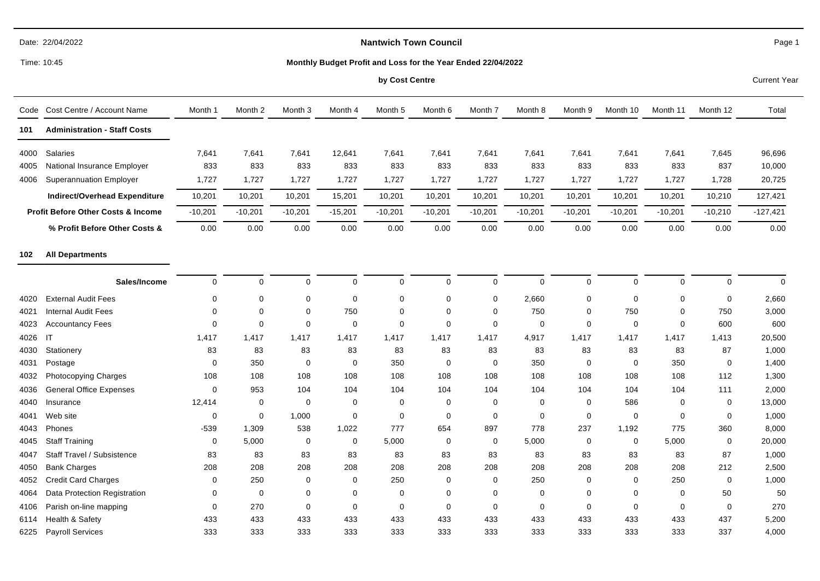## **Nantwich Town Council**

Time: 10:45

#### **Monthly Budget Profit and Loss for the Year Ended 22/04/2022**

#### **by Cost Centre** Current Year

|      | Code Cost Centre / Account Name               | Month 1   | Month 2     | Month 3     | Month 4     | Month <sub>5</sub> | Month 6     | Month 7     | Month 8     | Month 9     | Month 10    | Month 11    | Month 12    | Total      |
|------|-----------------------------------------------|-----------|-------------|-------------|-------------|--------------------|-------------|-------------|-------------|-------------|-------------|-------------|-------------|------------|
| 101  | <b>Administration - Staff Costs</b>           |           |             |             |             |                    |             |             |             |             |             |             |             |            |
| 4000 | Salaries                                      | 7,641     | 7,641       | 7,641       | 12,641      | 7,641              | 7,641       | 7,641       | 7,641       | 7,641       | 7,641       | 7,641       | 7,645       | 96,696     |
| 4005 | National Insurance Employer                   | 833       | 833         | 833         | 833         | 833                | 833         | 833         | 833         | 833         | 833         | 833         | 837         | 10,000     |
| 4006 | <b>Superannuation Employer</b>                | 1,727     | 1,727       | 1,727       | 1,727       | 1,727              | 1,727       | 1,727       | 1,727       | 1,727       | 1,727       | 1,727       | 1,728       | 20,725     |
|      | Indirect/Overhead Expenditure                 | 10,201    | 10,201      | 10,201      | 15,201      | 10,201             | 10,201      | 10,201      | 10,201      | 10,201      | 10,201      | 10,201      | 10,210      | 127,421    |
|      | <b>Profit Before Other Costs &amp; Income</b> | $-10,201$ | $-10,201$   | $-10,201$   | $-15,201$   | $-10,201$          | $-10,201$   | $-10,201$   | $-10,201$   | $-10,201$   | $-10,201$   | $-10,201$   | $-10,210$   | $-127,421$ |
|      | % Profit Before Other Costs &                 | 0.00      | 0.00        | 0.00        | 0.00        | 0.00               | 0.00        | 0.00        | 0.00        | 0.00        | 0.00        | 0.00        | 0.00        | 0.00       |
| 102  | <b>All Departments</b>                        |           |             |             |             |                    |             |             |             |             |             |             |             |            |
|      | Sales/Income                                  | $\Omega$  | $\mathbf 0$ | $\Omega$    | $\mathbf 0$ | $\Omega$           | $\mathbf 0$ | $\Omega$    | $\mathbf 0$ | $\Omega$    | $\Omega$    | $\Omega$    | $\Omega$    | $\Omega$   |
| 4020 | <b>External Audit Fees</b>                    | 0         | 0           | 0           | 0           | 0                  | 0           | 0           | 2,660       | 0           | $\mathbf 0$ | $\Omega$    | $\mathbf 0$ | 2,660      |
| 4021 | <b>Internal Audit Fees</b>                    | 0         | $\mathbf 0$ | $\mathbf 0$ | 750         | $\mathbf 0$        | $\mathbf 0$ | $\mathbf 0$ | 750         | $\mathbf 0$ | 750         | $\Omega$    | 750         | 3,000      |
| 4023 | <b>Accountancy Fees</b>                       | 0         | $\mathbf 0$ | $\mathbf 0$ | 0           | $\mathbf 0$        | $\mathbf 0$ | $\mathbf 0$ | $\mathbf 0$ | $\mathbf 0$ | $\mathbf 0$ | $\mathbf 0$ | 600         | 600        |
| 4026 | IT                                            | 1,417     | 1,417       | 1,417       | 1,417       | 1,417              | 1,417       | 1,417       | 4,917       | 1,417       | 1,417       | 1,417       | 1,413       | 20,500     |
| 4030 | Stationery                                    | 83        | 83          | 83          | 83          | 83                 | 83          | 83          | 83          | 83          | 83          | 83          | 87          | 1,000      |
| 4031 | Postage                                       | 0         | 350         | 0           | 0           | 350                | $\mathbf 0$ | 0           | 350         | 0           | $\mathbf 0$ | 350         | 0           | 1,400      |
| 4032 | Photocopying Charges                          | 108       | 108         | 108         | 108         | 108                | 108         | 108         | 108         | 108         | 108         | 108         | 112         | 1,300      |
| 4036 | <b>General Office Expenses</b>                | $\Omega$  | 953         | 104         | 104         | 104                | 104         | 104         | 104         | 104         | 104         | 104         | 111         | 2,000      |
| 4040 | Insurance                                     | 12,414    | $\mathbf 0$ | $\mathbf 0$ | $\mathbf 0$ | $\mathbf 0$        | $\mathbf 0$ | $\mathbf 0$ | 0           | $\Omega$    | 586         | $\Omega$    | $\mathbf 0$ | 13,000     |
| 4041 | Web site                                      | 0         | 0           | 1,000       | 0           | $\mathbf 0$        | $\mathbf 0$ | 0           | $\mathbf 0$ | $\mathbf 0$ | $\mathbf 0$ | $\Omega$    | $\mathbf 0$ | 1,000      |
| 4043 | Phones                                        | $-539$    | 1,309       | 538         | 1,022       | 777                | 654         | 897         | 778         | 237         | 1,192       | 775         | 360         | 8,000      |
| 4045 | <b>Staff Training</b>                         | 0         | 5,000       | 0           | 0           | 5,000              | $\mathbf 0$ | $\mathbf 0$ | 5,000       | $\Omega$    | $\mathbf 0$ | 5,000       | $\mathbf 0$ | 20,000     |
| 4047 | Staff Travel / Subsistence                    | 83        | 83          | 83          | 83          | 83                 | 83          | 83          | 83          | 83          | 83          | 83          | 87          | 1,000      |
| 4050 | <b>Bank Charges</b>                           | 208       | 208         | 208         | 208         | 208                | 208         | 208         | 208         | 208         | 208         | 208         | 212         | 2,500      |
| 4052 | <b>Credit Card Charges</b>                    | 0         | 250         | 0           | 0           | 250                | 0           | $\Omega$    | 250         | $\Omega$    | $\mathbf 0$ | 250         | $\mathbf 0$ | 1,000      |
| 4064 | Data Protection Registration                  | 0         | 0           | 0           | 0           | 0                  | 0           | 0           | 0           | 0           | $\mathbf 0$ | $\Omega$    | 50          | 50         |
| 4106 | Parish on-line mapping                        | 0         | 270         | 0           | 0           | 0                  | 0           | 0           | 0           | 0           | $\mathbf 0$ | 0           | 0           | 270        |
| 6114 | Health & Safety                               | 433       | 433         | 433         | 433         | 433                | 433         | 433         | 433         | 433         | 433         | 433         | 437         | 5,200      |
| 6225 | <b>Payroll Services</b>                       | 333       | 333         | 333         | 333         | 333                | 333         | 333         | 333         | 333         | 333         | 333         | 337         | 4,000      |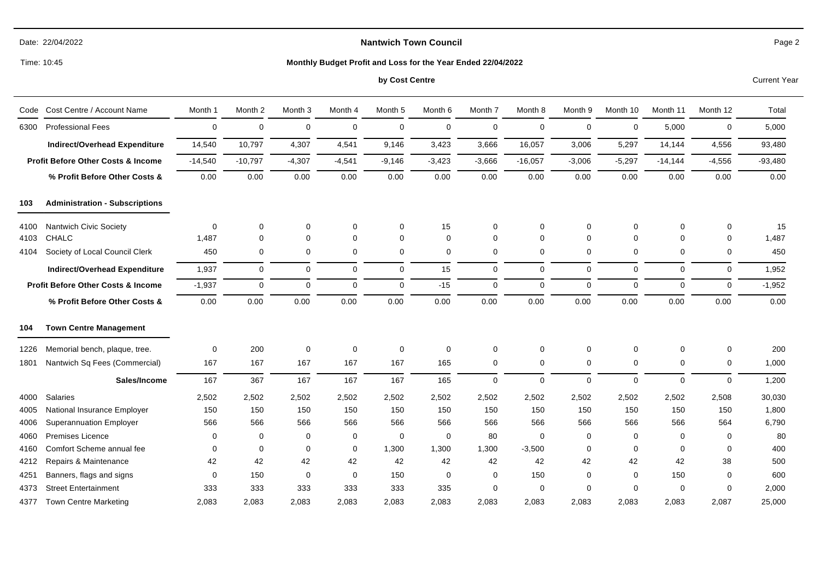|      | Time: 10:45                                   |              |             |                    |             | Monthly Budget Profit and Loss for the Year Ended 22/04/2022 |             |                    |                |             |             |                |              |                     |
|------|-----------------------------------------------|--------------|-------------|--------------------|-------------|--------------------------------------------------------------|-------------|--------------------|----------------|-------------|-------------|----------------|--------------|---------------------|
|      |                                               |              |             |                    |             | by Cost Centre                                               |             |                    |                |             |             |                |              | <b>Current Year</b> |
|      | Code Cost Centre / Account Name               | Month 1      | Month 2     | Month <sub>3</sub> | Month 4     | Month 5                                                      | Month 6     | Month <sub>7</sub> | Month 8        | Month 9     | Month 10    | Month 11       | Month 12     | Total               |
| 6300 | <b>Professional Fees</b>                      | 0            | 0           | 0                  | $\mathbf 0$ | $\mathbf 0$                                                  | $\mathbf 0$ | 0                  | $\mathbf 0$    | $\mathbf 0$ | $\mathbf 0$ | 5,000          | $\mathbf 0$  | 5,000               |
|      | Indirect/Overhead Expenditure                 | 14,540       | 10,797      | 4,307              | 4,541       | 9,146                                                        | 3,423       | 3,666              | 16,057         | 3,006       | 5,297       | 14,144         | 4,556        | 93,480              |
|      | <b>Profit Before Other Costs &amp; Income</b> | $-14,540$    | $-10,797$   | $-4,307$           | $-4,541$    | $-9,146$                                                     | $-3,423$    | $-3,666$           | $-16,057$      | $-3,006$    | $-5,297$    | $-14,144$      | $-4,556$     | $-93,480$           |
|      | % Profit Before Other Costs &                 | 0.00         | 0.00        | 0.00               | 0.00        | 0.00                                                         | 0.00        | 0.00               | 0.00           | 0.00        | 0.00        | 0.00           | 0.00         | 0.00                |
| 103  | <b>Administration - Subscriptions</b>         |              |             |                    |             |                                                              |             |                    |                |             |             |                |              |                     |
| 4100 | Nantwich Civic Society                        | $\mathbf{0}$ | 0           | 0                  | 0           | 0                                                            | 15          | 0                  | $\mathbf 0$    | $\mathbf 0$ | 0           | $\overline{0}$ | 0            | 15                  |
| 4103 | <b>CHALC</b>                                  | 1,487        | $\Omega$    | $\Omega$           | $\mathbf 0$ | $\Omega$                                                     | $\Omega$    | $\Omega$           | $\Omega$       | $\Omega$    | $\Omega$    | $\Omega$       | 0            | 1,487               |
| 4104 | Society of Local Council Clerk                | 450          | $\mathbf 0$ | 0                  | $\mathbf 0$ | $\mathbf 0$                                                  | $\mathbf 0$ | 0                  | 0              | $\mathbf 0$ | $\mathbf 0$ | 0              | $\mathbf 0$  | 450                 |
|      | Indirect/Overhead Expenditure                 | 1,937        | $\mathbf 0$ | $\mathbf 0$        | 0           | $\mathbf 0$                                                  | 15          | $\mathbf 0$        | $\mathbf 0$    | 0           | $\Omega$    | $\mathbf 0$    | $\mathbf 0$  | 1,952               |
|      | <b>Profit Before Other Costs &amp; Income</b> | $-1,937$     | $\mathbf 0$ | $\mathbf 0$        | $\mathbf 0$ | $\mathbf 0$                                                  | $-15$       | $\mathbf 0$        | $\overline{0}$ | $\mathbf 0$ | $\mathbf 0$ | $\mathbf 0$    | $\mathbf 0$  | $-1,952$            |
|      | % Profit Before Other Costs &                 | 0.00         | 0.00        | 0.00               | 0.00        | 0.00                                                         | 0.00        | 0.00               | 0.00           | 0.00        | 0.00        | 0.00           | 0.00         | 0.00                |
| 104  | <b>Town Centre Management</b>                 |              |             |                    |             |                                                              |             |                    |                |             |             |                |              |                     |
| 1226 | Memorial bench, plaque, tree.                 | $\mathbf 0$  | 200         | 0                  | $\mathbf 0$ | $\mathbf 0$                                                  | $\mathbf 0$ | $\mathbf 0$        | 0              | 0           | 0           | $\mathbf 0$    | 0            | 200                 |
| 1801 | Nantwich Sq Fees (Commercial)                 | 167          | 167         | 167                | 167         | 167                                                          | 165         | 0                  | 0              | 0           | $\mathbf 0$ | 0              | $\mathbf 0$  | 1,000               |
|      | Sales/Income                                  | 167          | 367         | 167                | 167         | 167                                                          | 165         | $\mathbf 0$        | $\mathbf 0$    | $\mathbf 0$ | $\mathbf 0$ | $\mathbf 0$    | $\mathbf{0}$ | 1,200               |
| 4000 | <b>Salaries</b>                               | 2,502        | 2,502       | 2,502              | 2,502       | 2,502                                                        | 2,502       | 2,502              | 2,502          | 2,502       | 2,502       | 2,502          | 2,508        | 30,030              |
| 4005 | National Insurance Employer                   | 150          | 150         | 150                | 150         | 150                                                          | 150         | 150                | 150            | 150         | 150         | 150            | 150          | 1,800               |
| 4006 | <b>Superannuation Employer</b>                | 566          | 566         | 566                | 566         | 566                                                          | 566         | 566                | 566            | 566         | 566         | 566            | 564          | 6,790               |
| 4060 | <b>Premises Licence</b>                       | $\mathbf 0$  | 0           | $\Omega$           | $\mathbf 0$ | $\mathbf 0$                                                  | $\mathbf 0$ | 80                 | $\Omega$       | 0           | $\Omega$    | $\Omega$       | 0            | 80                  |

4160 Comfort Scheme annual fee  $\begin{array}{cccccccc} 0 & 0 & 0 & 0 & 1,300 & 1,300 & 1,300 & -3,500 & 0 & 0 & 0 & 0 & 400 \end{array}$  Repairs & Maintenance 42 42 42 42 42 42 42 42 42 42 42 38 500 Banners, flags and signs 0 150 0 0 150 0 0 150 0 0 150 0 600 Street Entertainment 333 333 333 333 333 335 0 0 0 0 0 0 2,000 Town Centre Marketing 2,083 2,083 2,083 2,083 2,083 2,083 2,083 2,083 2,083 2,083 2,083 2,087 25,000

22/04/2022 Date:

**Nantwich Town Council**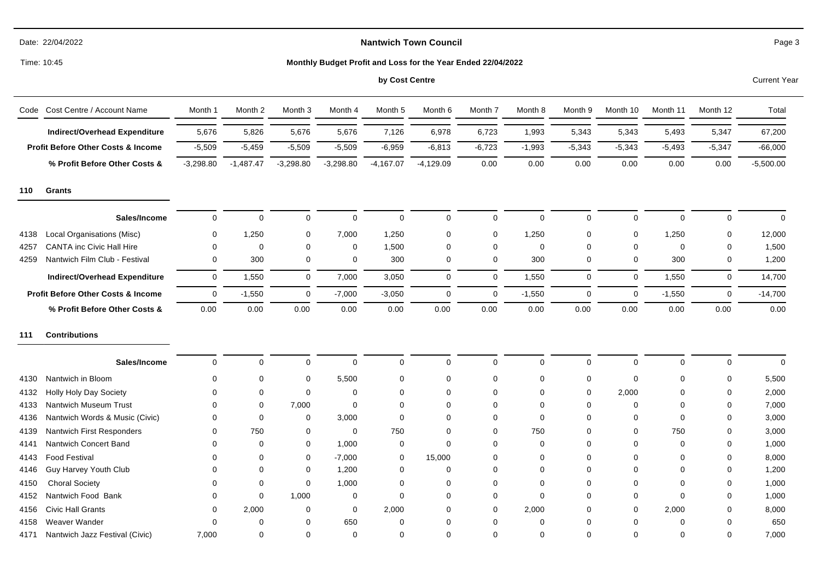| Date: 22/04/2022                              |             |                |             |             |                | <b>Nantwich Town Council</b>                                 |          |          |          |          |          |          | Pa          |
|-----------------------------------------------|-------------|----------------|-------------|-------------|----------------|--------------------------------------------------------------|----------|----------|----------|----------|----------|----------|-------------|
| Time: 10:45                                   |             |                |             |             |                | Monthly Budget Profit and Loss for the Year Ended 22/04/2022 |          |          |          |          |          |          |             |
|                                               |             |                |             |             | by Cost Centre |                                                              |          |          |          |          |          |          | Current Y   |
| Code Cost Centre / Account Name               | Month 1     | Month 2        | Month 3     | Month 4     | Month 5        | Month 6                                                      | Month 7  | Month 8  | Month 9  | Month 10 | Month 11 | Month 12 | Total       |
| Indirect/Overhead Expenditure                 | 5,676       | 5,826          | 5,676       | 5,676       | 7,126          | 6,978                                                        | 6,723    | 1,993    | 5,343    | 5,343    | 5,493    | 5,347    | 67,200      |
| <b>Profit Before Other Costs &amp; Income</b> | $-5,509$    | $-5,459$       | $-5,509$    | $-5,509$    | $-6,959$       | $-6,813$                                                     | $-6,723$ | $-1,993$ | $-5,343$ | $-5,343$ | $-5,493$ | $-5,347$ | $-66,000$   |
| % Profit Before Other Costs &                 | $-3,298.80$ | 1,487.47<br>-1 | $-3,298.80$ | $-3,298.80$ | $-4,167.07$    | -4.129.09                                                    | 0.00     | 0.00     | 0.00     | 0.00     | 0.00     | 0.00     | $-5,500.00$ |

**110 Grants**

|      | Sales/Income                                  |      |          |      | $\Omega$ |          | 0            |          |          |      |      |          |      | 0         |
|------|-----------------------------------------------|------|----------|------|----------|----------|--------------|----------|----------|------|------|----------|------|-----------|
| 4138 | Local Organisations (Misc)                    | 0    | ,250     |      | 7,000    | 1,250    | $\mathbf{0}$ | 0        | .250     | 0    | 0    | 1,250    |      | 12,000    |
| 4257 | <b>CANTA inc Civic Hall Hire</b>              | 0    |          |      | 0        | 1,500    | 0            | 0        |          | 0    | 0    | 0        |      | 1,500     |
| 4259 | Nantwich Film Club - Festival                 | O    | 300      |      | 0        | 300      | 0            | $\Omega$ | 300      | 0    |      | 300      |      | 1,200     |
|      | Indirect/Overhead Expenditure                 |      | .550     |      | 7,000    | 3,050    | 0            |          | .550     |      |      | 1,550    |      | 14,700    |
|      | <b>Profit Before Other Costs &amp; Income</b> | 0    | $-1,550$ |      | $-7,000$ | $-3,050$ | $\Omega$     |          | $-1,550$ |      |      | $-1,550$ |      | $-14,700$ |
|      | % Profit Before Other Costs &                 | 0.00 | 0.00     | 0.00 | 0.00     | 0.00     | 0.00         | 0.00     | 0.00     | 0.00 | 0.00 | 0.00     | 0.00 | 0.00      |

Page 3

**Current Year** 

**111 Contributions**

|      | Sales/Income                        |       | 0        | 0        |             | 0        |        | $\Omega$     |          |          | 0     | 0            |   |       |
|------|-------------------------------------|-------|----------|----------|-------------|----------|--------|--------------|----------|----------|-------|--------------|---|-------|
| 4130 | Nantwich in Bloom                   |       | 0        | 0        | 5,500       | 0        |        | 0            |          |          | 0     |              |   | 5,500 |
|      | 4132 Holly Holy Day Society         |       | $\Omega$ | $\Omega$ | 0           | $\Omega$ | 0      | $\Omega$     | O        | $\Omega$ | 2,000 | 0            | 0 | 2,000 |
| 4133 | Nantwich Museum Trust               |       | 0        | 7,000    |             |          |        | 0            |          |          |       |              |   | 7,000 |
|      | 4136 Nantwich Words & Music (Civic) |       | 0        | 0        | 3,000       | 0        |        | $\Omega$     | 0        |          | 0     | 0            | 0 | 3,000 |
| 4139 | Nantwich First Responders           |       | 750      | 0        | 0           | 750      |        | 0            | 750      |          |       | 750          |   | 3,000 |
| 4141 | <b>Nantwich Concert Band</b>        |       | 0        | $\Omega$ | 1,000       | 0        | 0      | $\Omega$     | ∩        |          | ŋ     | 0            | 0 | 1,000 |
|      | 4143 Food Festival                  |       |          | 0        | $-7,000$    | 0        | 15,000 |              |          |          |       |              |   | 8,000 |
|      | 4146 Guy Harvey Youth Club          |       | 0        | $\Omega$ | 1,200       | $\Omega$ | 0      | $\Omega$     |          |          | 0     | $\mathbf{U}$ | 0 | 1,200 |
| 4150 | <b>Choral Society</b>               |       | 0        | $\Omega$ | 1,000       | 0        |        | <sup>0</sup> |          |          |       |              |   | 1,000 |
| 4152 | Nantwich Food Bank                  |       | 0        | 1,000    | $\mathbf 0$ | $\Omega$ |        | $\Omega$     | $\Omega$ |          | 0     | $\Omega$     | 0 | 1,000 |
|      | 4156 Civic Hall Grants              | 0     | 2,000    | 0        | 0           | 2,000    |        | 0            | 2,000    |          | 0     | 2,000        |   | 8,000 |
| 4158 | Weaver Wander                       |       | $\Omega$ |          | 650         | $\Omega$ |        | $\Omega$     | $\Omega$ |          |       |              |   | 650   |
| 4171 | Nantwich Jazz Festival (Civic)      | 7,000 |          |          | 0           |          |        |              |          |          |       |              |   | 7,000 |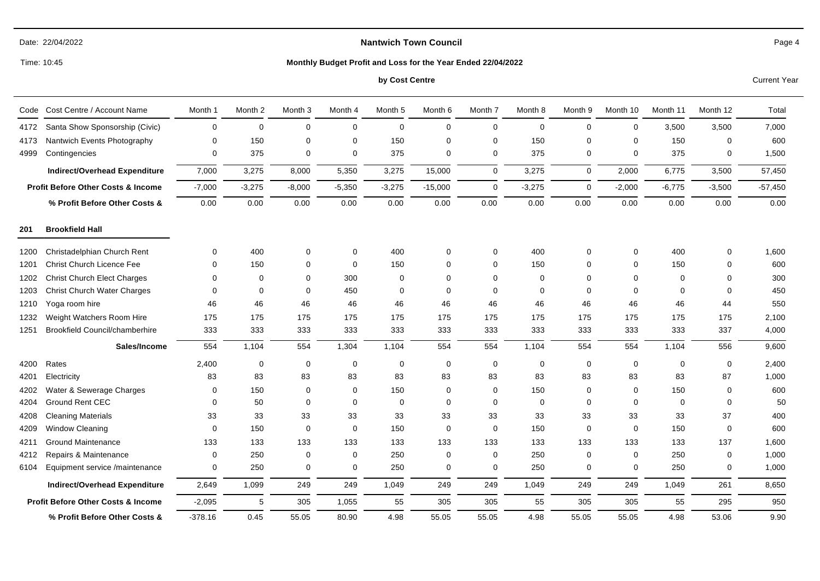## **Nantwich Town Council**

Time: 10:45

#### **Monthly Budget Profit and Loss for the Year Ended 22/04/2022**

## **by Cost Centre** Current Year

| Code | Cost Centre / Account Name                    | Month 1   | Month 2     | Month 3     | Month 4     | Month 5     | Month 6     | Month 7     | Month 8     | Month 9     | Month 10    | Month 11    | Month 12    | Total     |
|------|-----------------------------------------------|-----------|-------------|-------------|-------------|-------------|-------------|-------------|-------------|-------------|-------------|-------------|-------------|-----------|
| 4172 | Santa Show Sponsorship (Civic)                | $\Omega$  | $\mathbf 0$ | $\mathbf 0$ | $\mathbf 0$ | $\mathbf 0$ | $\mathbf 0$ | $\mathbf 0$ | $\mathbf 0$ | $\mathbf 0$ | $\mathbf 0$ | 3,500       | 3,500       | 7,000     |
| 4173 | Nantwich Events Photography                   | $\Omega$  | 150         | $\mathbf 0$ | $\mathbf 0$ | 150         | $\mathbf 0$ | 0           | 150         | $\Omega$    | $\Omega$    | 150         | $\mathbf 0$ | 600       |
| 4999 | Contingencies                                 | $\Omega$  | 375         | $\mathbf 0$ | $\mathbf 0$ | 375         | $\Omega$    | $\mathbf 0$ | 375         | $\mathbf 0$ | $\Omega$    | 375         | $\mathbf 0$ | 1,500     |
|      | Indirect/Overhead Expenditure                 | 7,000     | 3,275       | 8,000       | 5,350       | 3,275       | 15,000      | $\mathbf 0$ | 3,275       | $\mathbf 0$ | 2,000       | 6,775       | 3,500       | 57,450    |
|      | <b>Profit Before Other Costs &amp; Income</b> | $-7,000$  | $-3,275$    | $-8,000$    | $-5,350$    | $-3,275$    | $-15,000$   | $\mathbf 0$ | $-3,275$    | $\Omega$    | $-2,000$    | $-6,775$    | $-3,500$    | $-57,450$ |
|      | % Profit Before Other Costs &                 | 0.00      | 0.00        | 0.00        | 0.00        | 0.00        | 0.00        | 0.00        | 0.00        | 0.00        | 0.00        | 0.00        | 0.00        | 0.00      |
| 201  | <b>Brookfield Hall</b>                        |           |             |             |             |             |             |             |             |             |             |             |             |           |
| 1200 | Christadelphian Church Rent                   | 0         | 400         | 0           | $\mathbf 0$ | 400         | 0           | 0           | 400         | $\mathbf 0$ | $\Omega$    | 400         | 0           | 1,600     |
| 1201 | <b>Christ Church Licence Fee</b>              | $\Omega$  | 150         | $\mathbf 0$ | $\mathbf 0$ | 150         | $\Omega$    | $\Omega$    | 150         | $\Omega$    | $\Omega$    | 150         | $\Omega$    | 600       |
| 1202 | <b>Christ Church Elect Charges</b>            | $\Omega$  | $\Omega$    | $\mathbf 0$ | 300         | $\Omega$    | $\Omega$    | $\Omega$    | $\Omega$    | $\Omega$    | $\Omega$    | $\Omega$    | $\Omega$    | 300       |
| 1203 | <b>Christ Church Water Charges</b>            | $\Omega$  | $\Omega$    | $\mathbf 0$ | 450         | $\mathbf 0$ | $\Omega$    | $\mathbf 0$ | 0           | $\Omega$    | $\Omega$    | $\mathbf 0$ | $\Omega$    | 450       |
| 1210 | Yoga room hire                                | 46        | 46          | 46          | 46          | 46          | 46          | 46          | 46          | 46          | 46          | 46          | 44          | 550       |
| 1232 | Weight Watchers Room Hire                     | 175       | 175         | 175         | 175         | 175         | 175         | 175         | 175         | 175         | 175         | 175         | 175         | 2,100     |
| 1251 | <b>Brookfield Council/chamberhire</b>         | 333       | 333         | 333         | 333         | 333         | 333         | 333         | 333         | 333         | 333         | 333         | 337         | 4,000     |
|      | Sales/Income                                  | 554       | 1,104       | 554         | 1,304       | 1,104       | 554         | 554         | 1,104       | 554         | 554         | 1,104       | 556         | 9,600     |
| 4200 | Rates                                         | 2,400     | $\mathbf 0$ | $\mathbf 0$ | $\mathbf 0$ | $\mathbf 0$ | $\mathbf 0$ | 0           | 0           | $\mathbf 0$ | $\mathbf 0$ | $\mathbf 0$ | $\mathbf 0$ | 2,400     |
| 4201 | Electricity                                   | 83        | 83          | 83          | 83          | 83          | 83          | 83          | 83          | 83          | 83          | 83          | 87          | 1,000     |
| 4202 | Water & Sewerage Charges                      | $\Omega$  | 150         | $\mathbf 0$ | 0           | 150         | $\Omega$    | 0           | 150         | $\Omega$    | $\Omega$    | 150         | $\Omega$    | 600       |
| 4204 | <b>Ground Rent CEC</b>                        | $\Omega$  | 50          | $\mathbf 0$ | 0           | $\Omega$    | $\Omega$    | 0           | 0           | $\Omega$    | $\Omega$    | $\mathbf 0$ | $\Omega$    | 50        |
| 4208 | <b>Cleaning Materials</b>                     | 33        | 33          | 33          | 33          | 33          | 33          | 33          | 33          | 33          | 33          | 33          | 37          | 400       |
| 4209 | Window Cleaning                               | $\Omega$  | 150         | $\mathbf 0$ | $\mathbf 0$ | 150         | $\mathbf 0$ | $\mathbf 0$ | 150         | $\mathbf 0$ | $\Omega$    | 150         | $\mathbf 0$ | 600       |
| 4211 | <b>Ground Maintenance</b>                     | 133       | 133         | 133         | 133         | 133         | 133         | 133         | 133         | 133         | 133         | 133         | 137         | 1,600     |
| 4212 | Repairs & Maintenance                         | $\Omega$  | 250         | 0           | 0           | 250         | $\mathbf 0$ | 0           | 250         | $\Omega$    | 0           | 250         | $\mathbf 0$ | 1,000     |
| 6104 | Equipment service /maintenance                | $\Omega$  | 250         | $\mathbf 0$ | $\mathbf 0$ | 250         | $\mathbf 0$ | $\mathbf 0$ | 250         | $\Omega$    | $\Omega$    | 250         | $\mathbf 0$ | 1,000     |
|      | Indirect/Overhead Expenditure                 | 2,649     | 1,099       | 249         | 249         | 1,049       | 249         | 249         | 1,049       | 249         | 249         | 1,049       | 261         | 8,650     |
|      | <b>Profit Before Other Costs &amp; Income</b> | $-2,095$  | 5           | 305         | 1,055       | 55          | 305         | 305         | 55          | 305         | 305         | 55          | 295         | 950       |
|      | % Profit Before Other Costs &                 | $-378.16$ | 0.45        | 55.05       | 80.90       | 4.98        | 55.05       | 55.05       | 4.98        | 55.05       | 55.05       | 4.98        | 53.06       | 9.90      |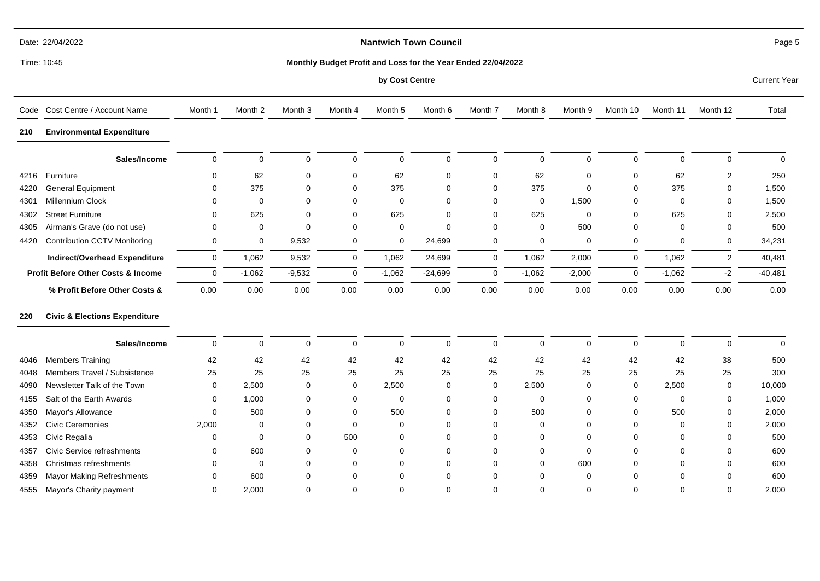|      | Time: 10:45                              | Monthly Budget Profit and Loss for the Year Ended 22/04/2022 |                    |                    |             |                |                    |             |             |             |             |                |                |                     |  |
|------|------------------------------------------|--------------------------------------------------------------|--------------------|--------------------|-------------|----------------|--------------------|-------------|-------------|-------------|-------------|----------------|----------------|---------------------|--|
|      |                                          |                                                              |                    |                    |             | by Cost Centre |                    |             |             |             |             |                |                | <b>Current Year</b> |  |
| Code | Cost Centre / Account Name               | Month 1                                                      | Month <sub>2</sub> | Month <sub>3</sub> | Month 4     | Month 5        | Month <sub>6</sub> | Month 7     | Month 8     | Month 9     | Month 10    | Month 11       | Month 12       | Total               |  |
| 210  | <b>Environmental Expenditure</b>         |                                                              |                    |                    |             |                |                    |             |             |             |             |                |                |                     |  |
|      | Sales/Income                             | $\mathbf 0$                                                  | $\mathbf 0$        | $\mathbf 0$        | $\mathbf 0$ | $\mathbf 0$    | $\mathbf 0$        | $\mathbf 0$ | $\mathbf 0$ | 0           | 0           | $\overline{0}$ | $\mathbf 0$    | $\mathbf 0$         |  |
| 4216 | Furniture                                | $\Omega$                                                     | 62                 | $\Omega$           | $\mathbf 0$ | 62             | $\Omega$           | $\mathbf 0$ | 62          | $\mathbf 0$ | $\mathbf 0$ | 62             | $\overline{2}$ | 250                 |  |
| 4220 | <b>General Equipment</b>                 | $\Omega$                                                     | 375                | $\Omega$           | $\mathbf 0$ | 375            | $\mathbf 0$        | $\mathbf 0$ | 375         | $\mathbf 0$ | $\mathbf 0$ | 375            | $\mathbf 0$    | 1,500               |  |
| 4301 | Millennium Clock                         | $\Omega$                                                     | $\Omega$           | $\Omega$           | $\Omega$    | $\mathbf 0$    | $\Omega$           | $\Omega$    | $\mathbf 0$ | 1,500       | $\Omega$    | $\mathbf{0}$   | $\mathbf 0$    | 1,500               |  |
| 4302 | <b>Street Furniture</b>                  | $\Omega$                                                     | 625                | $\Omega$           | 0           | 625            | $\Omega$           | $\mathbf 0$ | 625         | 0           | $\mathbf 0$ | 625            | 0              | 2,500               |  |
| 4305 | Airman's Grave (do not use)              | $\Omega$                                                     | $\mathbf 0$        | $\Omega$           | 0           | $\mathbf 0$    | $\Omega$           | 0           | 0           | 500         | 0           | $\mathbf 0$    | 0              | 500                 |  |
| 4420 | <b>Contribution CCTV Monitoring</b>      | $\mathbf 0$                                                  | $\mathbf 0$        | 9,532              | $\pmb{0}$   | $\mathbf 0$    | 24,699             | 0           | $\mathbf 0$ | $\mathbf 0$ | 0           | $\mathbf 0$    | 0              | 34,231              |  |
|      | Indirect/Overhead Expenditure            | $\mathbf 0$                                                  | 1,062              | 9,532              | $\mathbf 0$ | 1,062          | 24,699             | $\mathbf 0$ | 1,062       | 2,000       | $\mathbf 0$ | 1,062          | 2              | 40,481              |  |
|      | Profit Before Other Costs & Income       | $\mathbf 0$                                                  | $-1,062$           | $-9,532$           | $\mathbf 0$ | $-1,062$       | $-24,699$          | $\mathbf 0$ | $-1,062$    | $-2,000$    | $\mathbf 0$ | $-1,062$       | $-2$           | $-40,481$           |  |
|      | % Profit Before Other Costs &            | 0.00                                                         | 0.00               | 0.00               | 0.00        | 0.00           | 0.00               | 0.00        | 0.00        | 0.00        | 0.00        | 0.00           | 0.00           | 0.00                |  |
| 220  | <b>Civic &amp; Elections Expenditure</b> |                                                              |                    |                    |             |                |                    |             |             |             |             |                |                |                     |  |
|      | Sales/Income                             | $\mathbf 0$                                                  | $\mathbf 0$        | $\mathbf 0$        | $\mathbf 0$ | $\Omega$       | $\mathbf 0$        | $\mathbf 0$ | $\mathbf 0$ | $\mathbf 0$ | $\mathbf 0$ | $\overline{0}$ | $\mathbf 0$    | $\Omega$            |  |
| 4046 | <b>Members Training</b>                  | 42                                                           | 42                 | 42                 | 42          | 42             | 42                 | 42          | 42          | 42          | 42          | 42             | 38             | 500                 |  |
| 4048 | Members Travel / Subsistence             | 25                                                           | 25                 | 25                 | 25          | 25             | 25                 | 25          | 25          | 25          | 25          | 25             | 25             | 300                 |  |
| 4090 | Newsletter Talk of the Town              | $\mathbf 0$                                                  | 2,500              | $\mathbf 0$        | 0           | 2,500          | $\mathbf 0$        | $\mathbf 0$ | 2,500       | $\mathbf 0$ | $\mathbf 0$ | 2,500          | $\mathbf 0$    | 10,000              |  |
| 4155 | Salt of the Earth Awards                 | 0                                                            | 1,000              | $\Omega$           | 0           | $\mathbf 0$    | 0                  | $\mathbf 0$ | $\mathbf 0$ | 0           | $\mathbf 0$ | $\Omega$       | 0              | 1,000               |  |
| 4350 | Mayor's Allowance                        | $\mathbf 0$                                                  | 500                | $\Omega$           | $\mathbf 0$ | 500            | $\mathbf 0$        | $\mathbf 0$ | 500         | $\mathbf 0$ | $\mathbf 0$ | 500            | 0              | 2,000               |  |
| 4352 | Civic Ceremonies                         | 2,000                                                        | $\mathbf 0$        | $\Omega$           | 0           | $\mathbf 0$    | 0                  | $\Omega$    | 0           | $\Omega$    | $\Omega$    | $\Omega$       | 0              | 2,000               |  |
| 4353 | Civic Regalia                            | 0                                                            | $\mathbf 0$        | $\Omega$           | 500         | 0              | 0                  | 0           | 0           | 0           | 0           | 0              | $\mathbf 0$    | 500                 |  |
| 4357 | Civic Service refreshments               | $\Omega$                                                     | 600                | $\Omega$           | 0           | $\Omega$       | $\Omega$           | $\Omega$    | 0           | $\Omega$    | $\Omega$    | 0              | $\mathbf 0$    | 600                 |  |
| 4358 | Christmas refreshments                   | $\Omega$                                                     | $\mathbf 0$        | $\Omega$           | $\Omega$    | $\Omega$       | $\Omega$           | $\Omega$    | 0           | 600         | $\Omega$    | $\Omega$       | $\Omega$       | 600                 |  |
| 4359 | <b>Mayor Making Refreshments</b>         | $\Omega$                                                     | 600                | $\Omega$           | $\Omega$    | $\Omega$       | $\Omega$           | $\Omega$    | 0           | 0           | $\Omega$    | $\Omega$       | $\mathbf 0$    | 600                 |  |
| 4555 | Mayor's Charity payment                  | $\Omega$                                                     | 2.000              | $\Omega$           | $\Omega$    | $\Omega$       | $\Omega$           | $\Omega$    | $\Omega$    | $\Omega$    | $\Omega$    | $\Omega$       | $\Omega$       | 2,000               |  |

## **Nantwich Town Council**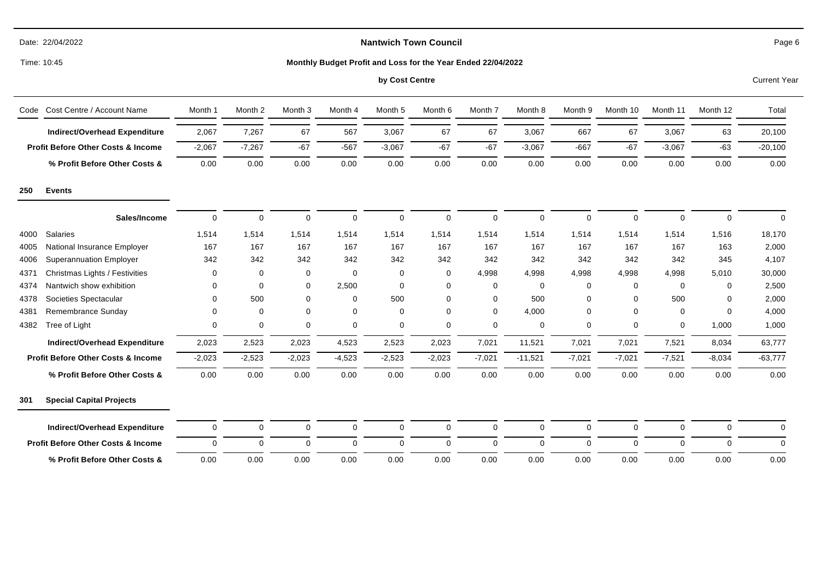|  | Date: 22/04/2022 |
|--|------------------|
|--|------------------|

## **Nantwich Town Council**

Time: 10:45

#### **Monthly Budget Profit and Loss for the Year Ended 22/04/2022**

## **by Cost Centre** Current Year

| Code | Cost Centre / Account Name                    | Month 1     | Month 2        | Month 3     | Month 4      | Month 5     | Month 6     | Month 7        | Month 8     | Month 9     | Month 10    | Month 11    | Month 12    | Total     |
|------|-----------------------------------------------|-------------|----------------|-------------|--------------|-------------|-------------|----------------|-------------|-------------|-------------|-------------|-------------|-----------|
|      | <b>Indirect/Overhead Expenditure</b>          | 2,067       | 7,267          | 67          | 567          | 3,067       | 67          | 67             | 3,067       | 667         | 67          | 3,067       | 63          | 20,100    |
|      | <b>Profit Before Other Costs &amp; Income</b> | $-2,067$    | $-7,267$       | $-67$       | $-567$       | $-3,067$    | $-67$       | $-67$          | $-3,067$    | $-667$      | $-67$       | $-3,067$    | $-63$       | $-20,100$ |
|      | % Profit Before Other Costs &                 | 0.00        | 0.00           | 0.00        | 0.00         | 0.00        | 0.00        | 0.00           | 0.00        | 0.00        | 0.00        | 0.00        | 0.00        | 0.00      |
| 250  | <b>Events</b>                                 |             |                |             |              |             |             |                |             |             |             |             |             |           |
|      | Sales/Income                                  | $\mathbf 0$ | $\mathbf 0$    | $\mathbf 0$ | $\mathbf 0$  | $\mathbf 0$ | $\mathbf 0$ | 0              | $\Omega$    | 0           | $\mathbf 0$ | 0           | 0           | $\Omega$  |
| 4000 | <b>Salaries</b>                               | 1,514       | 1,514          | 1,514       | 1,514        | 1,514       | 1,514       | 1,514          | 1,514       | 1,514       | 1,514       | 1,514       | 1,516       | 18,170    |
| 4005 | National Insurance Employer                   | 167         | 167            | 167         | 167          | 167         | 167         | 167            | 167         | 167         | 167         | 167         | 163         | 2,000     |
| 4006 | <b>Superannuation Employer</b>                | 342         | 342            | 342         | 342          | 342         | 342         | 342            | 342         | 342         | 342         | 342         | 345         | 4,107     |
| 4371 | Christmas Lights / Festivities                | $\mathbf 0$ | 0              | 0           | $\mathbf 0$  | 0           | $\Omega$    | 4,998          | 4,998       | 4,998       | 4,998       | 4,998       | 5,010       | 30,000    |
| 4374 | Nantwich show exhibition                      | 0           | $\overline{0}$ | 0           | 2,500        | 0           | 0           | 0              | 0           | 0           | 0           | 0           | 0           | 2,500     |
| 4378 | Societies Spectacular                         | 0           | 500            | 0           | 0            | 500         | 0           | 0              | 500         | 0           | 0           | 500         | 0           | 2,000     |
| 4381 | Remembrance Sunday                            | $\mathbf 0$ | $\Omega$       | 0           | $\mathbf 0$  | 0           | 0           | 0              | 4,000       | 0           | 0           | 0           | $\Omega$    | 4,000     |
| 4382 | Tree of Light                                 | $\mathbf 0$ | 0              | 0           | 0            | 0           | 0           | 0              | $\mathbf 0$ | $\mathbf 0$ | 0           | 0           | 1,000       | 1,000     |
|      | Indirect/Overhead Expenditure                 | 2,023       | 2,523          | 2,023       | 4,523        | 2,523       | 2,023       | 7,021          | 11,521      | 7,021       | 7,021       | 7,521       | 8,034       | 63,777    |
|      | <b>Profit Before Other Costs &amp; Income</b> | $-2,023$    | $-2,523$       | $-2,023$    | $-4,523$     | $-2,523$    | $-2,023$    | $-7,021$       | $-11,521$   | $-7,021$    | $-7,021$    | $-7,521$    | $-8,034$    | $-63,777$ |
|      | % Profit Before Other Costs &                 | 0.00        | 0.00           | 0.00        | 0.00         | 0.00        | 0.00        | 0.00           | 0.00        | 0.00        | 0.00        | 0.00        | 0.00        | 0.00      |
| 301  | <b>Special Capital Projects</b>               |             |                |             |              |             |             |                |             |             |             |             |             |           |
|      | <b>Indirect/Overhead Expenditure</b>          | $\mathbf 0$ | $\mathbf 0$    | 0           | $\mathbf{0}$ | $\mathbf 0$ | $\mathbf 0$ | 0              | $\mathbf 0$ | $\mathbf 0$ | $\mathbf 0$ | $\mathbf 0$ | $\mathbf 0$ | $\Omega$  |
|      | <b>Profit Before Other Costs &amp; Income</b> | $\mathbf 0$ | $\overline{0}$ | $\mathbf 0$ | $\mathbf 0$  | $\mathbf 0$ | $\mathbf 0$ | $\overline{0}$ | $\mathbf 0$ | $\mathbf 0$ | $\mathbf 0$ | 0           | $\mathbf 0$ | $\Omega$  |
|      | % Profit Before Other Costs &                 | 0.00        | 0.00           | 0.00        | 0.00         | 0.00        | 0.00        | 0.00           | 0.00        | 0.00        | 0.00        | 0.00        | 0.00        | 0.00      |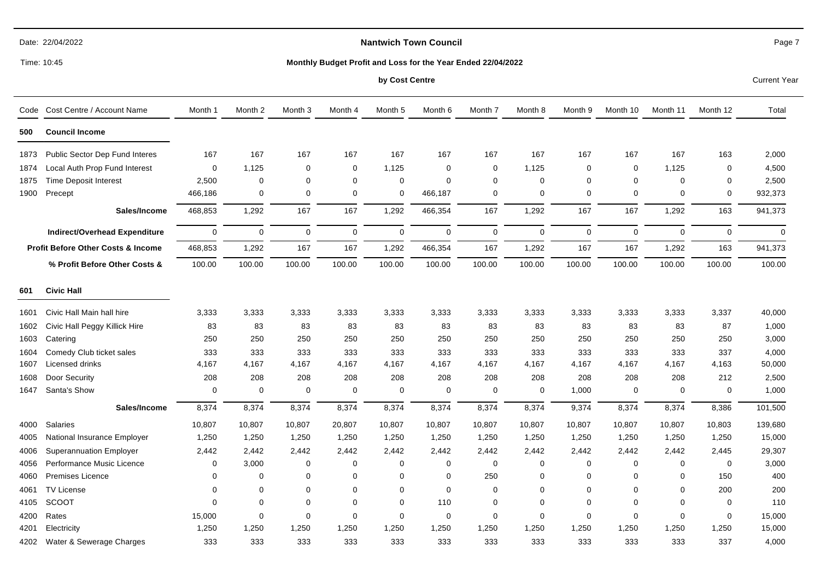## **Nantwich Town Council**

Time: 10:45

#### **Monthly Budget Profit and Loss for the Year Ended 22/04/2022**

#### **by Cost Centre** Current Year

| Code | Cost Centre / Account Name                    | Month 1     | Month 2     | Month 3     | Month 4     | Month 5     | Month 6        | Month 7     | Month 8     | Month 9     | Month 10    | Month 11    | Month 12    | Total    |
|------|-----------------------------------------------|-------------|-------------|-------------|-------------|-------------|----------------|-------------|-------------|-------------|-------------|-------------|-------------|----------|
| 500  | <b>Council Income</b>                         |             |             |             |             |             |                |             |             |             |             |             |             |          |
| 1873 | Public Sector Dep Fund Interes                | 167         | 167         | 167         | 167         | 167         | 167            | 167         | 167         | 167         | 167         | 167         | 163         | 2,000    |
| 1874 | Local Auth Prop Fund Interest                 | 0           | 1,125       | 0           | 0           | 1,125       | 0              | 0           | 1,125       | $\Omega$    | $\mathbf 0$ | 1,125       | 0           | 4,500    |
| 1875 | Time Deposit Interest                         | 2,500       | 0           | 0           | 0           | $\mathbf 0$ | $\Omega$       | $\mathbf 0$ | 0           | $\Omega$    | $\Omega$    | $\Omega$    | 0           | 2,500    |
| 1900 | Precept                                       | 466,186     | 0           | $\mathbf 0$ | 0           | 0           | 466,187        | 0           | $\Omega$    | $\mathbf 0$ | $\Omega$    | $\Omega$    | $\mathbf 0$ | 932,373  |
|      | Sales/Income                                  | 468,853     | 1,292       | 167         | 167         | 1,292       | 466,354        | 167         | 1,292       | 167         | 167         | 1,292       | 163         | 941,373  |
|      | Indirect/Overhead Expenditure                 | $\mathbf 0$ | $\mathbf 0$ | $\mathbf 0$ | $\mathbf 0$ | $\mathbf 0$ | $\overline{0}$ | $\mathbf 0$ | $\mathbf 0$ | $\Omega$    | $\mathbf 0$ | $\mathbf 0$ | $\Omega$    | $\Omega$ |
|      | <b>Profit Before Other Costs &amp; Income</b> | 468,853     | 1,292       | 167         | 167         | 1,292       | 466,354        | 167         | 1,292       | 167         | 167         | 1,292       | 163         | 941,373  |
|      | % Profit Before Other Costs &                 | 100.00      | 100.00      | 100.00      | 100.00      | 100.00      | 100.00         | 100.00      | 100.00      | 100.00      | 100.00      | 100.00      | 100.00      | 100.00   |
| 601  | <b>Civic Hall</b>                             |             |             |             |             |             |                |             |             |             |             |             |             |          |
| 1601 | Civic Hall Main hall hire                     | 3,333       | 3,333       | 3,333       | 3,333       | 3,333       | 3,333          | 3,333       | 3,333       | 3,333       | 3,333       | 3,333       | 3,337       | 40,000   |
| 1602 | Civic Hall Peggy Killick Hire                 | 83          | 83          | 83          | 83          | 83          | 83             | 83          | 83          | 83          | 83          | 83          | 87          | 1,000    |
| 1603 | Catering                                      | 250         | 250         | 250         | 250         | 250         | 250            | 250         | 250         | 250         | 250         | 250         | 250         | 3,000    |
| 1604 | Comedy Club ticket sales                      | 333         | 333         | 333         | 333         | 333         | 333            | 333         | 333         | 333         | 333         | 333         | 337         | 4,000    |
| 1607 | Licensed drinks                               | 4,167       | 4,167       | 4,167       | 4,167       | 4,167       | 4,167          | 4,167       | 4,167       | 4,167       | 4,167       | 4,167       | 4,163       | 50,000   |
| 1608 | Door Security                                 | 208         | 208         | 208         | 208         | 208         | 208            | 208         | 208         | 208         | 208         | 208         | 212         | 2,500    |
| 1647 | Santa's Show                                  | 0           | 0           | 0           | 0           | $\mathbf 0$ | 0              | $\Omega$    | $\Omega$    | 1,000       | $\Omega$    | $\Omega$    | $\mathbf 0$ | 1,000    |
|      | Sales/Income                                  | 8,374       | 8,374       | 8,374       | 8,374       | 8,374       | 8,374          | 8,374       | 8,374       | 9,374       | 8,374       | 8,374       | 8,386       | 101,500  |
| 4000 | <b>Salaries</b>                               | 10,807      | 10,807      | 10,807      | 20,807      | 10,807      | 10,807         | 10,807      | 10,807      | 10,807      | 10,807      | 10,807      | 10,803      | 139,680  |
| 4005 | National Insurance Employer                   | 1,250       | 1,250       | 1,250       | 1,250       | 1,250       | 1,250          | 1,250       | 1,250       | 1,250       | 1,250       | 1,250       | 1,250       | 15,000   |
| 4006 | <b>Superannuation Employer</b>                | 2,442       | 2,442       | 2,442       | 2,442       | 2,442       | 2,442          | 2,442       | 2,442       | 2,442       | 2,442       | 2,442       | 2,445       | 29,307   |
| 4056 | Performance Music Licence                     | 0           | 3,000       | 0           | 0           | 0           | 0              | 0           | 0           | $\Omega$    | $\Omega$    | $\Omega$    | 0           | 3,000    |
| 4060 | <b>Premises Licence</b>                       | 0           | 0           | 0           | 0           | $\mathbf 0$ | $\mathbf 0$    | 250         | 0           | $\Omega$    | $\Omega$    | 0           | 150         | 400      |
| 4061 | TV License                                    | 0           | 0           | 0           | 0           | 0           | $\mathbf 0$    | $\Omega$    | $\Omega$    | $\Omega$    | $\Omega$    | $\Omega$    | 200         | 200      |
| 4105 | <b>SCOOT</b>                                  | 0           | $\Omega$    | $\Omega$    | $\mathbf 0$ | $\Omega$    | 110            | $\Omega$    | $\mathbf 0$ | $\Omega$    | $\Omega$    | $\Omega$    | 0           | 110      |
| 4200 | Rates                                         | 15,000      | $\mathbf 0$ | $\mathbf 0$ | 0           | $\mathbf 0$ | $\mathbf 0$    | $\mathbf 0$ | 0           | $\mathbf 0$ | $\mathbf 0$ | $\mathbf 0$ | $\mathbf 0$ | 15,000   |
| 4201 | Electricity                                   | 1,250       | 1,250       | 1,250       | 1,250       | 1,250       | 1,250          | 1,250       | 1,250       | 1,250       | 1,250       | 1,250       | 1,250       | 15,000   |
| 4202 | Water & Sewerage Charges                      | 333         | 333         | 333         | 333         | 333         | 333            | 333         | 333         | 333         | 333         | 333         | 337         | 4,000    |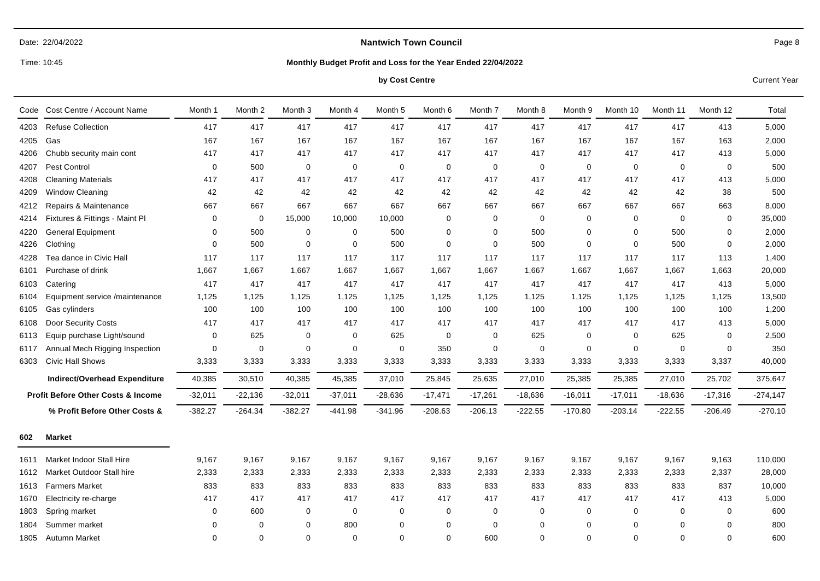#### **Nantwich Town Council**

Time: 10:45

#### **Monthly Budget Profit and Loss for the Year Ended 22/04/2022**

#### **by Cost Centre** Current Year **Current Year**

Code Cost Centre / Account Name Month 1 Month 2 Month 3 Month 4 Month 5 Month 6 Month 7 Month 8 Month 10 Month 11 Month 12 Total 4203 Refuse Collection 417 417 417 417 417 417 417 417 417 417 417 413 5,000 4205 Gas 167 167 167 167 167 167 167 167 163 2,000 4206 Chubb security main cont 417 417 417 417 417 417 417 417 417 417 417 413 5,000 4207 Pest Control 0 500 0 0 0 0 0 0 0 0 0 0 500 4208 Cleaning Materials 417 417 417 417 417 417 417 417 417 417 417 413 5,000 4209 Window Cleaning 42 42 42 42 42 42 42 42 42 38 500 4212 Repairs & Maintenance 667 667 667 667 667 667 667 667 667 667 667 663 8,000 4214 Fixtures & Fittings - Maint Pl 0 0 15,000 10,000 10,000 0 0 0 0 0 0 0 35,000 4220 General Equipment 0 500 0 0 500 0 0 500 0 0 500 0 2,000 4226 Clothing 0 500 0 500 0 0 500 0 500 0 2,000 4228 Tea dance in Civic Hall 117 117 117 117 117 117 117 117 117 117 117 113 1,400 6101 Purchase of drink 1,667 1,667 1,667 1,667 1,667 1,667 1,667 1,667 1,667 1,667 1,667 1,663 20,000 6103 Catering 417 417 417 417 417 417 417 417 417 417 417 413 5,000 6104 Equipment service /maintenance 1,125 1,125 1,125 1,125 1,125 1,125 1,125 1,125 1,125 1,125 1,125 1,125 13,500 6105 Gas cylinders 100 100 100 100 100 100 100 100 100 1,200 6108 Door Security Costs 417 417 417 417 417 417 417 417 417 417 417 413 5,000 6113 Equip purchase Light/sound 0 625 0 0 625 0 0 625 0 0 625 0 2,500 6117 Annual Mech Rigging Inspection 0 0 0 0 0 350 0 0 0 0 0 0 350 6303 Civic Hall Shows 3,333 3,333 3,333 3,333 3,333 3,333 3,333 3,333 3,333 3,333 3,333 3,337 40,000 **Indirect/Overhead Expenditure Profit Before Other Costs & Income % Profit Before Other Costs &**  40,385 -32,011 -382.27 30,510 -22,136 -264.34 40,385 -32,011 -382.27 45,385 -37,011 -441.98 37,010 -28,636 -341.96 25,845 -17,471 -208.63 25,635 -17,261 -206.13 27,010 -18,636  $-222.55$ 25,385 -16,011 -170.80 25,385 -17,011 -203.14 27,010 -18,636 -222.55 25,702 -17,316 -206.49 375,647 -274,147 -270.10 **602 Market** 1611 Market Indoor Stall Hire 9,167 9,167 9,167 9,167 9,167 9,167 9,167 9,167 9,167 9,167 9,167 9,163 110,000 1612 Market Outdoor Stall hire 2,333 2,333 2,333 2,333 2,333 2,333 2,333 2,333 2,333 2,333 2,333 2,337 28,000 1613 Farmers Market 833 833 833 833 833 833 833 833 833 833 833 837 10,000 1670 Electricity re-charge 417 417 417 417 417 417 417 417 417 417 417 413 5,000 1803 Spring market 0 600 0 0 0 0 0 0 0 0 0 0 600 1804 Summer market 0 0 0 800 0 0 0 0 0 0 0 0 800

1805 Autumn Market 0 0 0 0 0 0 600 0 0 0 0 0 600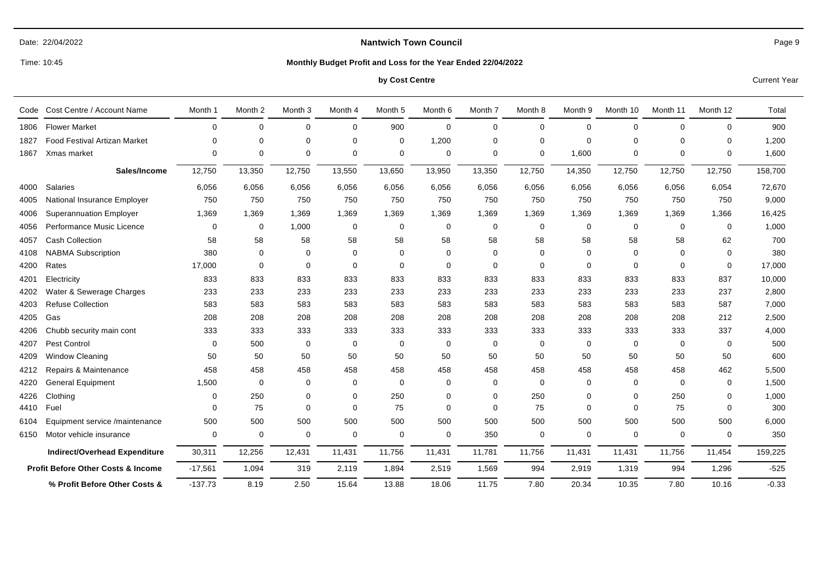## **Nantwich Town Council**

Time: 10:45

#### **Monthly Budget Profit and Loss for the Year Ended 22/04/2022**

#### **by Cost Centre** Current Year

|      | Code Cost Centre / Account Name               | Month 1     | Month 2  | Month <sub>3</sub> | Month 4     | Month 5     | Month 6        | Month 7     | Month 8     | Month 9  | Month 10    | Month 11    | Month 12    | Total   |
|------|-----------------------------------------------|-------------|----------|--------------------|-------------|-------------|----------------|-------------|-------------|----------|-------------|-------------|-------------|---------|
| 1806 | <b>Flower Market</b>                          | $\Omega$    | $\Omega$ | $\Omega$           | $\mathbf 0$ | 900         | $\mathbf{0}$   | $\mathbf 0$ | $\Omega$    | $\Omega$ | $\Omega$    | $\mathbf 0$ | $\Omega$    | 900     |
| 1827 | <b>Food Festival Artizan Market</b>           | $\Omega$    | $\Omega$ | $\Omega$           | $\mathbf 0$ | $\mathbf 0$ | 1,200          | $\mathbf 0$ | $\Omega$    | $\Omega$ | $\Omega$    | 0           | 0           | 1,200   |
| 1867 | Xmas market                                   | 0           | $\Omega$ | $\mathbf 0$        | $\mathbf 0$ | $\mathbf 0$ | $\mathbf 0$    | 0           | 0           | 1,600    | $\Omega$    | $\mathbf 0$ | 0           | 1,600   |
|      | Sales/Income                                  | 12,750      | 13,350   | 12,750             | 13,550      | 13,650      | 13,950         | 13,350      | 12,750      | 14,350   | 12,750      | 12,750      | 12,750      | 158,700 |
| 4000 | <b>Salaries</b>                               | 6,056       | 6,056    | 6,056              | 6,056       | 6,056       | 6,056          | 6,056       | 6,056       | 6,056    | 6,056       | 6,056       | 6,054       | 72,670  |
| 4005 | National Insurance Employer                   | 750         | 750      | 750                | 750         | 750         | 750            | 750         | 750         | 750      | 750         | 750         | 750         | 9,000   |
| 4006 | <b>Superannuation Employer</b>                | 1,369       | 1,369    | 1,369              | 1,369       | 1,369       | 1,369          | 1,369       | 1,369       | 1,369    | 1,369       | 1,369       | 1,366       | 16,425  |
| 4056 | Performance Music Licence                     | 0           | 0        | 1,000              | 0           | 0           | $\overline{0}$ | 0           | 0           | 0        | $\mathbf 0$ | 0           | $\mathbf 0$ | 1,000   |
| 4057 | <b>Cash Collection</b>                        | 58          | 58       | 58                 | 58          | 58          | 58             | 58          | 58          | 58       | 58          | 58          | 62          | 700     |
| 4108 | <b>NABMA Subscription</b>                     | 380         | 0        | $\Omega$           | $\mathbf 0$ | 0           | $\Omega$       | 0           | $\mathbf 0$ | $\Omega$ | $\Omega$    | $\mathbf 0$ | $\Omega$    | 380     |
| 4200 | Rates                                         | 17,000      | $\Omega$ | $\Omega$           | $\mathbf 0$ | $\Omega$    | $\Omega$       | $\mathbf 0$ | $\Omega$    | $\Omega$ | $\Omega$    | $\mathbf 0$ | $\Omega$    | 17,000  |
| 4201 | Electricity                                   | 833         | 833      | 833                | 833         | 833         | 833            | 833         | 833         | 833      | 833         | 833         | 837         | 10,000  |
| 4202 | Water & Sewerage Charges                      | 233         | 233      | 233                | 233         | 233         | 233            | 233         | 233         | 233      | 233         | 233         | 237         | 2,800   |
| 4203 | <b>Refuse Collection</b>                      | 583         | 583      | 583                | 583         | 583         | 583            | 583         | 583         | 583      | 583         | 583         | 587         | 7,000   |
| 4205 | Gas                                           | 208         | 208      | 208                | 208         | 208         | 208            | 208         | 208         | 208      | 208         | 208         | 212         | 2,500   |
| 4206 | Chubb security main cont                      | 333         | 333      | 333                | 333         | 333         | 333            | 333         | 333         | 333      | 333         | 333         | 337         | 4,000   |
| 4207 | <b>Pest Control</b>                           | $\Omega$    | 500      | $\Omega$           | $\mathbf 0$ | $\mathbf 0$ | $\Omega$       | $\mathbf 0$ | 0           | $\Omega$ | $\Omega$    | $\mathbf 0$ | $\Omega$    | 500     |
| 4209 | <b>Window Cleaning</b>                        | 50          | 50       | 50                 | 50          | 50          | 50             | 50          | 50          | 50       | 50          | 50          | 50          | 600     |
| 4212 | Repairs & Maintenance                         | 458         | 458      | 458                | 458         | 458         | 458            | 458         | 458         | 458      | 458         | 458         | 462         | 5,500   |
| 4220 | <b>General Equipment</b>                      | 1,500       | 0        | $\Omega$           | 0           | $\mathbf 0$ | $\Omega$       | 0           | 0           | $\Omega$ | $\mathbf 0$ | $\mathbf 0$ | $\Omega$    | 1,500   |
| 4226 | Clothing                                      | 0           | 250      | $\Omega$           | 0           | 250         | $\mathbf 0$    | 0           | 250         | $\Omega$ | $\Omega$    | 250         | $\Omega$    | 1,000   |
| 4410 | Fuel                                          | 0           | 75       | $\Omega$           | $\Omega$    | 75          | $\Omega$       | $\mathbf 0$ | 75          | $\Omega$ | $\Omega$    | 75          | $\Omega$    | 300     |
| 6104 | Equipment service /maintenance                | 500         | 500      | 500                | 500         | 500         | 500            | 500         | 500         | 500      | 500         | 500         | 500         | 6,000   |
| 6150 | Motor vehicle insurance                       | $\mathbf 0$ | 0        | $\Omega$           | $\mathbf 0$ | $\mathbf 0$ | $\mathbf 0$    | 350         | $\mathbf 0$ | 0        | $\mathbf 0$ | $\mathbf 0$ | 0           | 350     |
|      | Indirect/Overhead Expenditure                 | 30,311      | 12,256   | 12,431             | 11,431      | 11,756      | 11,431         | 11,781      | 11,756      | 11,431   | 11,431      | 11,756      | 11,454      | 159,225 |
|      | <b>Profit Before Other Costs &amp; Income</b> | $-17,561$   | 1,094    | 319                | 2,119       | 1,894       | 2,519          | 1,569       | 994         | 2,919    | 1,319       | 994         | 1,296       | $-525$  |
|      | % Profit Before Other Costs &                 | $-137.73$   | 8.19     | 2.50               | 15.64       | 13.88       | 18.06          | 11.75       | 7.80        | 20.34    | 10.35       | 7.80        | 10.16       | $-0.33$ |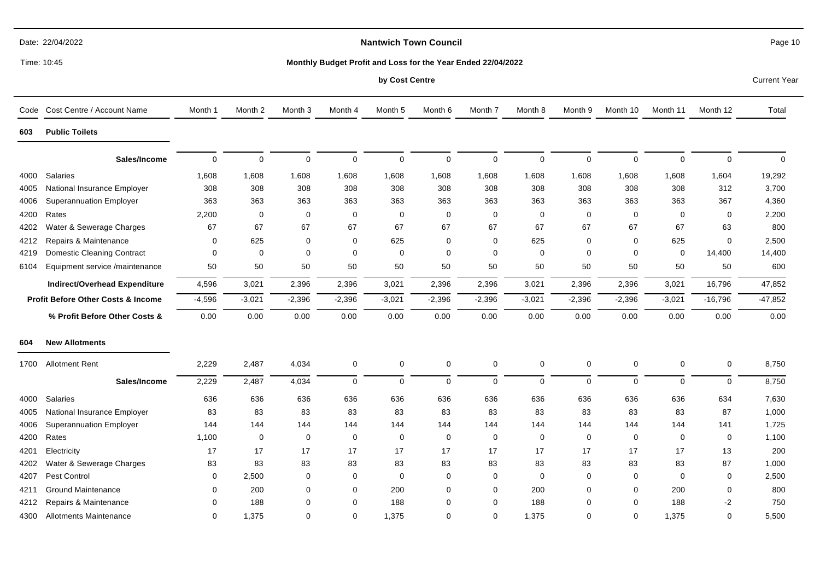|      | Time: 10:45<br>Monthly Budget Profit and Loss for the Year Ended 22/04/2022 |             |             |             |             |                |             |             |             |              |             |             |             |                     |
|------|-----------------------------------------------------------------------------|-------------|-------------|-------------|-------------|----------------|-------------|-------------|-------------|--------------|-------------|-------------|-------------|---------------------|
|      |                                                                             |             |             |             |             | by Cost Centre |             |             |             |              |             |             |             | <b>Current Year</b> |
| Code | Cost Centre / Account Name                                                  | Month 1     | Month 2     | Month 3     | Month 4     | Month 5        | Month 6     | Month 7     | Month 8     | Month 9      | Month 10    | Month 11    | Month 12    | Total               |
| 603  | <b>Public Toilets</b>                                                       |             |             |             |             |                |             |             |             |              |             |             |             |                     |
|      | Sales/Income                                                                | $\mathbf 0$ | $\mathbf 0$ | $\mathbf 0$ | $\mathbf 0$ | $\mathbf 0$    | $\mathbf 0$ | $\mathbf 0$ | $\pmb{0}$   | $\mathbf 0$  | $\mathbf 0$ | $\mathbf 0$ | $\mathbf 0$ | $\mathbf 0$         |
| 4000 | <b>Salaries</b>                                                             | 1,608       | 1,608       | 1,608       | 1,608       | 1,608          | 1,608       | 1,608       | 1,608       | 1,608        | 1,608       | 1,608       | 1,604       | 19,292              |
| 4005 | National Insurance Employer                                                 | 308         | 308         | 308         | 308         | 308            | 308         | 308         | 308         | 308          | 308         | 308         | 312         | 3,700               |
| 4006 | <b>Superannuation Employer</b>                                              | 363         | 363         | 363         | 363         | 363            | 363         | 363         | 363         | 363          | 363         | 363         | 367         | 4,360               |
| 4200 | Rates                                                                       | 2,200       | $\mathbf 0$ | $\mathbf 0$ | 0           | $\mathbf 0$    | 0           | $\mathbf 0$ | $\mathbf 0$ | $\mathbf 0$  | $\mathbf 0$ | $\Omega$    | 0           | 2,200               |
| 4202 | Water & Sewerage Charges                                                    | 67          | 67          | 67          | 67          | 67             | 67          | 67          | 67          | 67           | 67          | 67          | 63          | 800                 |
| 4212 | Repairs & Maintenance                                                       | $\mathbf 0$ | 625         | $\mathbf 0$ | $\mathbf 0$ | 625            | $\mathbf 0$ | $\mathbf 0$ | 625         | 0            | $\mathbf 0$ | 625         | $\mathbf 0$ | 2,500               |
| 4219 | <b>Domestic Cleaning Contract</b>                                           | $\mathbf 0$ | $\Omega$    | $\Omega$    | $\mathbf 0$ | $\Omega$       | $\mathbf 0$ | $\Omega$    | $\mathbf 0$ | $\mathbf 0$  | $\mathbf 0$ | $\mathbf 0$ | 14,400      | 14,400              |
| 6104 | Equipment service /maintenance                                              | 50          | 50          | 50          | 50          | 50             | 50          | 50          | 50          | 50           | 50          | 50          | 50          | 600                 |
|      | Indirect/Overhead Expenditure                                               | 4,596       | 3,021       | 2,396       | 2,396       | 3,021          | 2,396       | 2,396       | 3,021       | 2,396        | 2,396       | 3,021       | 16,796      | 47,852              |
|      | <b>Profit Before Other Costs &amp; Income</b>                               | $-4,596$    | $-3,021$    | $-2,396$    | $-2,396$    | $-3,021$       | $-2,396$    | $-2,396$    | $-3,021$    | $-2,396$     | $-2,396$    | $-3,021$    | $-16,796$   | $-47,852$           |
|      | % Profit Before Other Costs &                                               | 0.00        | 0.00        | 0.00        | 0.00        | 0.00           | 0.00        | 0.00        | 0.00        | 0.00         | 0.00        | 0.00        | 0.00        | 0.00                |
| 604  | <b>New Allotments</b>                                                       |             |             |             |             |                |             |             |             |              |             |             |             |                     |
| 1700 | <b>Allotment Rent</b>                                                       | 2,229       | 2,487       | 4,034       | $\mathbf 0$ | $\mathbf 0$    | $\mathbf 0$ | $\mathbf 0$ | 0           | $\mathbf 0$  | $\mathbf 0$ | $\mathbf 0$ | $\mathbf 0$ | 8,750               |
|      | Sales/Income                                                                | 2,229       | 2,487       | 4,034       | $\mathbf 0$ | $\mathbf 0$    | $\mathbf 0$ | $\mathbf 0$ | $\mathbf 0$ | $\mathbf 0$  | $\mathbf 0$ | $\mathbf 0$ | $\mathbf 0$ | 8,750               |
| 4000 | <b>Salaries</b>                                                             | 636         | 636         | 636         | 636         | 636            | 636         | 636         | 636         | 636          | 636         | 636         | 634         | 7,630               |
| 4005 | National Insurance Employer                                                 | 83          | 83          | 83          | 83          | 83             | 83          | 83          | 83          | 83           | 83          | 83          | 87          | 1,000               |
| 4006 | Superannuation Employer                                                     | 144         | 144         | 144         | 144         | 144            | 144         | 144         | 144         | 144          | 144         | 144         | 141         | 1,725               |
| 4200 | Rates                                                                       | 1,100       | $\mathbf 0$ | $\mathbf 0$ | $\mathbf 0$ | $\mathbf 0$    | $\mathbf 0$ | $\mathbf 0$ | 0           | $\mathbf 0$  | $\mathbf 0$ | $\mathbf 0$ | $\mathbf 0$ | 1,100               |
| 4201 | Electricity                                                                 | 17          | 17          | 17          | 17          | 17             | 17          | 17          | 17          | 17           | 17          | 17          | 13          | 200                 |
| 4202 | Water & Sewerage Charges                                                    | 83          | 83          | 83          | 83          | 83             | 83          | 83          | 83          | 83           | 83          | 83          | 87          | 1,000               |
| 4207 | Pest Control                                                                | $\mathbf 0$ | 2,500       | $\mathbf 0$ | $\mathbf 0$ | $\mathbf 0$    | $\mathbf 0$ | $\mathbf 0$ | $\mathbf 0$ | 0            | $\mathbf 0$ | $\mathbf 0$ | $\mathbf 0$ | 2,500               |
| 4211 | <b>Ground Maintenance</b>                                                   | $\Omega$    | 200         | 0           | 0           | 200            | $\mathbf 0$ | $\Omega$    | 200         | $\mathbf{0}$ | $\Omega$    | 200         | $\mathbf 0$ | 800                 |
| 4212 | Repairs & Maintenance                                                       | $\Omega$    | 188         | $\mathbf 0$ | 0           | 188            | $\Omega$    | $\Omega$    | 188         | 0            | $\Omega$    | 188         | $-2$        | 750                 |
| 4300 | <b>Allotments Maintenance</b>                                               | $\mathbf 0$ | 1.375       | $\Omega$    | $\Omega$    | 1,375          | $\Omega$    | $\Omega$    | 1,375       | 0            | $\Omega$    | 1.375       | $\Omega$    | 5,500               |

## **Nantwich Town Council**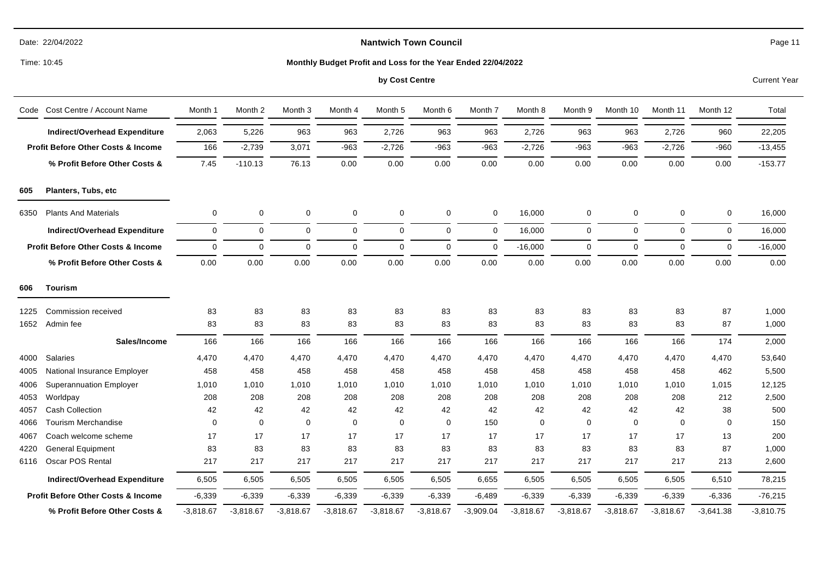|                                               | Time: 10:45                                   |             |                    |                    |             | Monthly Budget Profit and Loss for the Year Ended 22/04/2022 |                    |                    |             |             |              |             |             |                     |
|-----------------------------------------------|-----------------------------------------------|-------------|--------------------|--------------------|-------------|--------------------------------------------------------------|--------------------|--------------------|-------------|-------------|--------------|-------------|-------------|---------------------|
|                                               |                                               |             |                    |                    |             | by Cost Centre                                               |                    |                    |             |             |              |             |             | <b>Current Year</b> |
| Code                                          | Cost Centre / Account Name                    | Month 1     | Month <sub>2</sub> | Month <sub>3</sub> | Month 4     | Month 5                                                      | Month <sub>6</sub> | Month <sub>7</sub> | Month 8     | Month 9     | Month 10     | Month 11    | Month 12    | Total               |
|                                               | <b>Indirect/Overhead Expenditure</b>          | 2,063       | 5,226              | 963                | 963         | 2,726                                                        | 963                | 963                | 2,726       | 963         | 963          | 2,726       | 960         | 22,205              |
|                                               | <b>Profit Before Other Costs &amp; Income</b> | 166         | $-2,739$           | 3,071              | $-963$      | $-2,726$                                                     | $-963$             | $-963$             | $-2,726$    | $-963$      | $-963$       | $-2,726$    | $-960$      | $-13,455$           |
|                                               | % Profit Before Other Costs &                 | 7.45        | $-110.13$          | 76.13              | 0.00        | 0.00                                                         | 0.00               | 0.00               | 0.00        | 0.00        | 0.00         | 0.00        | 0.00        | $-153.77$           |
| 605                                           | Planters, Tubs, etc                           |             |                    |                    |             |                                                              |                    |                    |             |             |              |             |             |                     |
| 6350                                          | <b>Plants And Materials</b>                   | 0           | 0                  | 0                  | 0           | 0                                                            | 0                  | 0                  | 16,000      | 0           | 0            | 0           | 0           | 16,000              |
|                                               | <b>Indirect/Overhead Expenditure</b>          | $\mathbf 0$ | $\mathbf 0$        | $\mathbf 0$        | 0           | $\mathbf 0$                                                  | $\mathbf 0$        | $\mathbf 0$        | 16,000      | $\mathbf 0$ | $\mathbf{0}$ | $\mathbf 0$ | $\mathbf 0$ | 16,000              |
|                                               | <b>Profit Before Other Costs &amp; Income</b> | $\mathbf 0$ | $\mathbf 0$        | $\mathbf 0$        | 0           | $\mathbf 0$                                                  | $\mathbf 0$        | $\mathbf 0$        | $-16,000$   | $\mathbf 0$ | $\mathbf 0$  | $\Omega$    | $\mathbf 0$ | $-16,000$           |
|                                               | % Profit Before Other Costs &                 | 0.00        | 0.00               | 0.00               | 0.00        | 0.00                                                         | 0.00               | 0.00               | 0.00        | 0.00        | 0.00         | 0.00        | 0.00        | 0.00                |
| 606                                           | Tourism                                       |             |                    |                    |             |                                                              |                    |                    |             |             |              |             |             |                     |
| 1225                                          | Commission received                           | 83          | 83                 | 83                 | 83          | 83                                                           | 83                 | 83                 | 83          | 83          | 83           | 83          | 87          | 1,000               |
|                                               | 1652 Admin fee                                | 83          | 83                 | 83                 | 83          | 83                                                           | 83                 | 83                 | 83          | 83          | 83           | 83          | 87          | 1,000               |
|                                               | Sales/Income                                  | 166         | 166                | 166                | 166         | 166                                                          | 166                | 166                | 166         | 166         | 166          | 166         | 174         | 2,000               |
| 4000                                          | <b>Salaries</b>                               | 4,470       | 4,470              | 4,470              | 4,470       | 4,470                                                        | 4,470              | 4,470              | 4,470       | 4,470       | 4,470        | 4,470       | 4,470       | 53,640              |
| 4005                                          | National Insurance Employer                   | 458         | 458                | 458                | 458         | 458                                                          | 458                | 458                | 458         | 458         | 458          | 458         | 462         | 5,500               |
| 4006                                          | <b>Superannuation Employer</b>                | 1,010       | 1,010              | 1,010              | 1,010       | 1,010                                                        | 1,010              | 1,010              | 1,010       | 1,010       | 1,010        | 1,010       | 1,015       | 12,125              |
| 4053                                          | Worldpay                                      | 208         | 208                | 208                | 208         | 208                                                          | 208                | 208                | 208         | 208         | 208          | 208         | 212         | 2,500               |
| 4057                                          | <b>Cash Collection</b>                        | 42          | 42                 | 42                 | 42          | 42                                                           | 42                 | 42                 | 42          | 42          | 42           | 42          | 38          | 500                 |
| 4066                                          | <b>Tourism Merchandise</b>                    | $\Omega$    | $\mathbf 0$        | $\Omega$           | $\mathbf 0$ | $\mathbf 0$                                                  | $\mathbf 0$        | 150                | $\mathbf 0$ | $\mathbf 0$ | $\Omega$     | $\Omega$    | $\mathbf 0$ | 150                 |
| 4067                                          | Coach welcome scheme                          | 17          | 17                 | 17                 | 17          | 17                                                           | 17                 | 17                 | 17          | 17          | 17           | 17          | 13          | 200                 |
| 4220                                          | <b>General Equipment</b>                      | 83          | 83                 | 83                 | 83          | 83                                                           | 83                 | 83                 | 83          | 83          | 83           | 83          | 87          | 1,000               |
| 6116                                          | Oscar POS Rental                              | 217         | 217                | 217                | 217         | 217                                                          | 217                | 217                | 217         | 217         | 217          | 217         | 213         | 2,600               |
|                                               | <b>Indirect/Overhead Expenditure</b>          | 6,505       | 6,505              | 6,505              | 6,505       | 6,505                                                        | 6,505              | 6,655              | 6,505       | 6,505       | 6,505        | 6,505       | 6,510       | 78,215              |
| <b>Profit Before Other Costs &amp; Income</b> |                                               | $-6.339$    | $-6.339$           | $-6.339$           | $-6.339$    | $-6.339$                                                     | $-6,339$           | $-6.489$           | $-6.339$    | $-6,339$    | $-6,339$     | $-6.339$    | $-6.336$    | $-76,215$           |

-3,818.67 -3,818.67 -3,818.67 -3,818.67 -3,818.67 -3,818.67 -3,909.04 -3,818.67 -3,818.67 -3,818.67 -3,818.67 -3,641.38

**% Profit Before Other Costs &** 

22/04/2022 Date:

 $\overline{a}$ 

# **Nantwich Town Council**

**Monthly Budget Profit and Loss for the Year Ended 22/04/2022**

-3,810.75